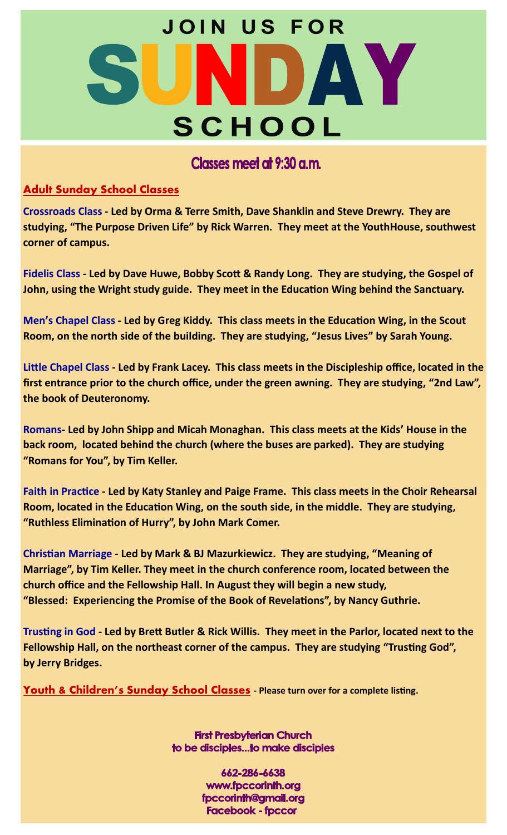## **JOIN US FOR** AY. SCHOOL

## Classes meet at 9:30 a.m.

## **Adult Sunday School Classes**

**Crossroads Class - Led by Orma & Terre Smith, Dave Shanklin and Steve Drewry. They are studying, "The Purpose Driven Life" by Rick Warren. They meet at the YouthHouse, southwest corner of campus.**

**Fidelis Class - Led by Dave Huwe, Bobby Scott & Randy Long. They are studying, the Gospel of John, using the Wright study guide. They meet in the Education Wing behind the Sanctuary.**

**Men's Chapel Class - Led by Greg Kiddy. This class meets in the Education Wing, in the Scout Room, on the north side of the building. They are studying, "Jesus Lives" by Sarah Young.**

**Little Chapel Class - Led by Frank Lacey. This class meets in the Discipleship office, located in the first entrance prior to the church office, under the green awning. They are studying, "2nd Law", the book of Deuteronomy.**

**Romans- Led by John Shipp and Micah Monaghan. This class meets at the Kids' House in the back room, located behind the church (where the buses are parked). They are studying "Romans for You", by Tim Keller.**

**Faith in Practice - Led by Katy Stanley and Paige Frame. This class meets in the Choir Rehearsal Room, located in the Education Wing, on the south side, in the middle. They are studying, "Ruthless Elimination of Hurry", by John Mark Comer.**

**Christian Marriage - Led by Mark & BJ Mazurkiewicz. They are studying, "Meaning of Marriage", by Tim Keller. They meet in the church conference room, located between the church office and the Fellowship Hall. In August they will begin a new study, "Blessed: Experiencing the Promise of the Book of Revelations", by Nancy Guthrie.**

**Trusting in God - Led by Brett Butler & Rick Willis. They meet in the Parlor, located next to the Fellowship Hall, on the northeast corner of the campus. They are studying "Trusting God", by Jerry Bridges.**

**Youth & Children's Sunday School Classes - Please turn over for a complete listing.**

**First Presbyterian Church** to be disciples...to make disciples

> 662-286-6638 www.fpccorinth.org fpccorinth@gmail.org **Facebook - fpccor**